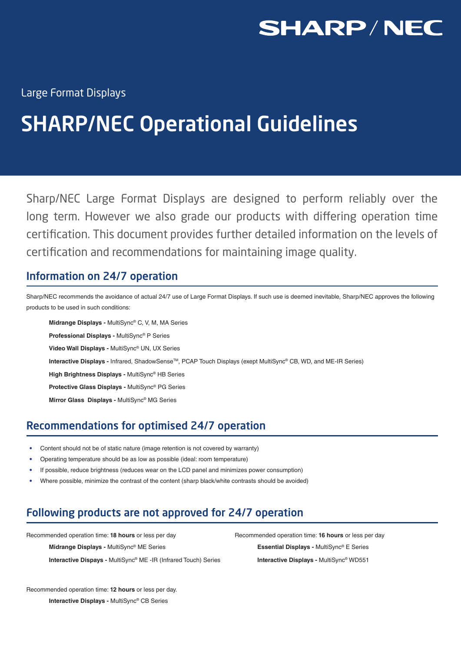

Large Format Displays

# SHARP/NEC Operational Guidelines

Sharp/NEC Large Format Displays are designed to perform reliably over the long term. However we also grade our products with differing operation time certification. This document provides further detailed information on the levels of certification and recommendations for maintaining image quality.

# Information on 24/7 operation

Sharp/NEC recommends the avoidance of actual 24/7 use of Large Format Displays. If such use is deemed inevitable, Sharp/NEC approves the following products to be used in such conditions:

**Midrange Displays -** MultiSync® C, V, M, MA Series **Professional Displays -** MultiSync® P Series **Video Wall Displays -** MultiSync® UN, UX Series **Interactive Displays - Infrared, ShadowSense™, PCAP Touch Displays (exept MultiSync® CB, WD, and ME-IR Series) High Brightness Displays -** MultiSync® HB Series **Protective Glass Displays -** MultiSync® PG Series **Mirror Glass Displays -** MultiSync® MG Series

# Recommendations for optimised 24/7 operation

- Content should not be of static nature (image retention is not covered by warranty)
- Operating temperature should be as low as possible (ideal: room temperature)
- If possible, reduce brightness (reduces wear on the LCD panel and minimizes power consumption)
- Where possible, minimize the contrast of the content (sharp black/white contrasts should be avoided)

# Following products are not approved for 24/7 operation

**Midrange Displays -** MultiSync® ME Series

**Interactive Dispays -** MultiSync® ME -IR (Infrared Touch) Series

Recommended operation time: **18 hours** or less per day Recommended operation time: **16 hours** or less per day **Essential Displays -** MultiSync® E Series **Interactive Displays -** MultiSync® WD551

Recommended operation time: **12 hours** or less per day. **Interactive Displays -** MultiSync® CB Series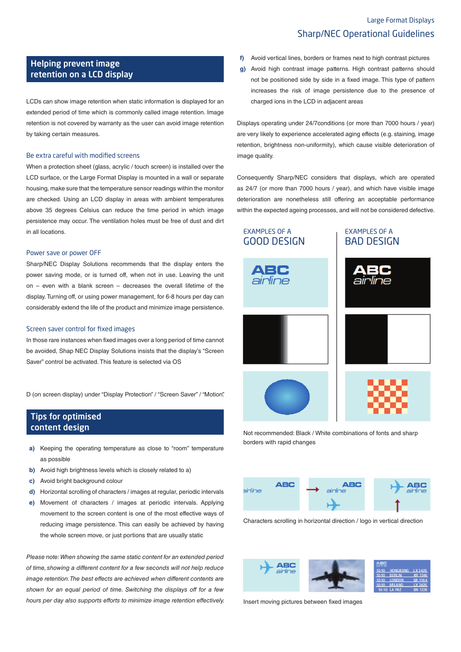## Large Format Displays Sharp/NEC Operational Guidelines

### Helping prevent image retention on a LCD display

LCDs can show image retention when static information is displayed for an extended period of time which is commonly called image retention. Image retention is not covered by warranty as the user can avoid image retention by taking certain measures.

#### Be extra careful with modified screens

When a protection sheet (glass, acrylic / touch screen) is installed over the LCD surface, or the Large Format Display is mounted in a wall or separate housing, make sure that the temperature sensor readings within the monitor are checked. Using an LCD display in areas with ambient temperatures above 35 degrees Celsius can reduce the time period in which image persistence may occur. The ventilation holes must be free of dust and dirt in all locations.

#### Power save or power OFF

Sharp/NEC Display Solutions recommends that the display enters the power saving mode, or is turned off, when not in use. Leaving the unit on – even with a blank screen – decreases the overall lifetime of the display. Turning off, or using power management, for 6-8 hours per day can considerably extend the life of the product and minimize image persistence.

#### Screen saver control for fixed images

In those rare instances when fixed images over a long period of time cannot be avoided, Shap NEC Display Solutions insists that the display's "Screen Saver" control be activated. This feature is selected via OS

D (on screen display) under "Display Protection" / "Screen Saver" / "Motion".

### Tips for optimised content design

- **a)** Keeping the operating temperature as close to "room" temperature as possible
- **b)** Avoid high brightness levels which is closely related to a)
- **c)** Avoid bright background colour
- **d)** Horizontal scrolling of characters / images at regular, periodic intervals
- **e)** Movement of characters / images at periodic intervals. Applying movement to the screen content is one of the most effective ways of reducing image persistence. This can easily be achieved by having the whole screen move, or just portions that are usually static

*Please note: When showing the same static content for an extended period of time, showing a different content for a few seconds will not help reduce image retention. The best effects are achieved when different contents are shown for an equal period of time. Switching the displays off for a few hours per day also supports efforts to minimize image retention effectively.* 

- **f)** Avoid vertical lines, borders or frames next to high contrast pictures
- **g)** Avoid high contrast image patterns. High contrast patterns should not be positioned side by side in a fixed image. This type of pattern increases the risk of image persistence due to the presence of charged ions in the LCD in adjacent areas

Displays operating under 24/7conditions (or more than 7000 hours / year) are very likely to experience accelerated aging effects (e.g. staining, image retention, brightness non-uniformity), which cause visible deterioration of image quality.

Consequently Sharp/NEC considers that displays, which are operated as 24/7 (or more than 7000 hours / year), and which have visible image deterioration are nonetheless still offering an acceptable performance within the expected ageing processes, and will not be considered defective.



Not recommended: Black / White combinations of fonts and sharp borders with rapid changes



Characters scrolling in horizontal direction / logo in vertical direction



Insert moving pictures between fixed images